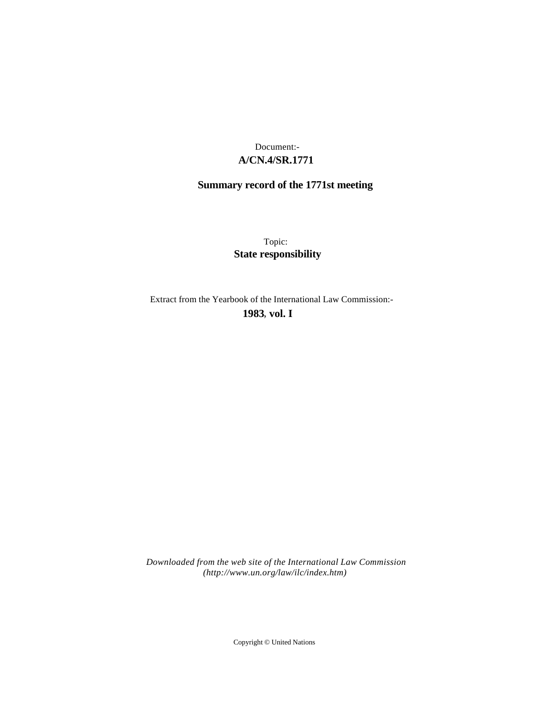# **A/CN.4/SR.1771** Document:-

# **Summary record of the 1771st meeting**

Topic: **State responsibility**

Extract from the Yearbook of the International Law Commission:-

**1983** , **vol. I**

*Downloaded from the web site of the International Law Commission (http://www.un.org/law/ilc/index.htm)*

Copyright © United Nations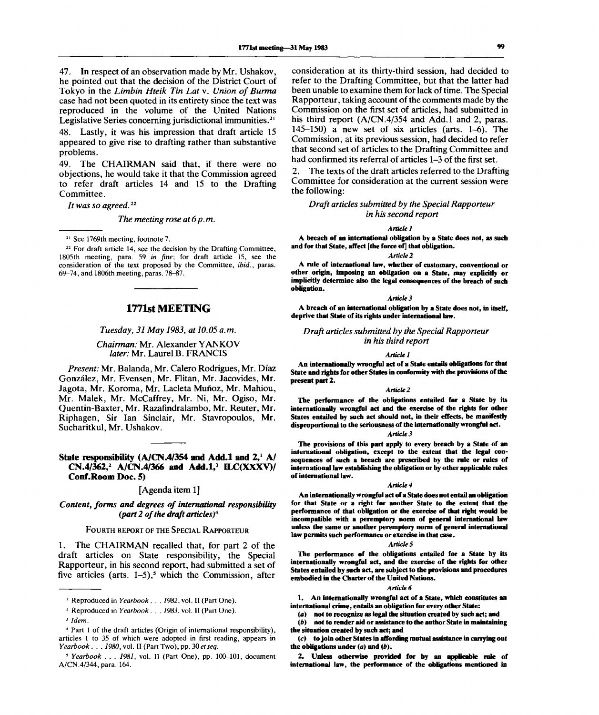47. In respect of an observation made by Mr. Ushakov, he pointed out that the decision of the District Court of Tokyo in the *Limbin Hteik Tin Lat* v. *Union of Burma* case had not been quoted in its entirety since the text was reproduced in the volume of the United Nations Legislative Series concerning jurisdictional immunities.<sup>21</sup>

48. Lastly, it was his impression that draft article 15 appeared to give rise to drafting rather than substantive problems.

49. The CHAIRMAN said that, if there were no objections, he would take it that the Commission agreed to refer draft articles 14 and 15 to the Drafting Committee.

*It was so agreed.*<sup>22</sup>

*The meeting rose at 6p.m.*

**21 See 1769th meeting, footnote 7.**

**22 For draft article 14, see the decision by the Drafting Committee, 1805th meeting, para. 59** *in fine;* **for draft article 15, see the consideration of the text proposed by the Committee,** *ibid.,* **paras. 69\_74, and 1806th meeting, paras. 78-87.**

# **1771st MEETING**

*Tuesday, 31 May 1983, at 10.05 a.m.*

# *Chairman:* Mr. Alexander YANKOV *later:* Mr. Laurel B. FRANCIS

*Present:* Mr. Balanda, Mr. Calero Rodrigues, Mr. Diaz Gonzalez, Mr. Evensen, Mr. Flitan, Mr. Jacovides, Mr. Jagota, Mr. Koroma, Mr. Lacleta Munoz, Mr. Mahiou, Mr. Malek, Mr. McCaffrey, Mr. Ni, Mr. Ogiso, Mr. Quentin-Baxter, Mr. Razafindralambo, Mr. Reuter, Mr. Riphagen, Sir Ian Sinclair, Mr. Stavropoulos, Mr. Sucharitkul, Mr. Ushakov.

# **State responsibility (A/CN.4/354 and Add.l and 2,<sup>1</sup> A/ CN.4/362,<sup>2</sup> A/CN.4/366 and Add.l,<sup>3</sup> ILC(XXXV)/ Conf.Room Doc. 5)**

#### [Agenda item 1]

*Content, forms and degrees of international responsibility (part 2 of the draft articles)<sup>4</sup>*

## FOURTH REPORT OF THE SPECIAL RAPPORTEUR

1. The CHAIRMAN recalled that, for part 2 of the draft articles on State responsibility, the Special Rapporteur, in his second report, had submitted a set of five articles (arts.  $1-5$ ),<sup>5</sup> which the Commission, after

consideration at its thirty-third session, had decided to refer to the Drafting Committee, but that the latter had been unable to examine them for lack of time. The Special Rapporteur, taking account of the comments made by the Commission on the first set of articles, had submitted in his third report  $(A/CN.4/354$  and Add.1 and 2, paras. 145-150) a new set of six articles (arts. 1-6). The Commission, at its previous session, had decided to refer that second set of articles to the Drafting Committee and had confirmed its referral of articles 1–3 of the first set.

The texts of the draft articles referred to the Drafting Committee for consideration at the current session were the following:

# *Draft articles submitted by the Special Rapporteur in his second report*

*Article 1*

**A breach of an international obligation by a State does not, as such and for that State, affect [the force of] that obligation.**

*Article 2*

**A rule of international law, whether of customary, conventional or other origin, imposing an obligation on a State, may explicitly or implicitly determine also the legal consequences of the breach of such obligation.**

#### *Article 3*

**A breach of an international obligation by a State does not, in itself, deprive that State of its rights under international law.**

*Draft articles submitted by the Special Rapporteur in his third report*

#### *Article 1*

**An internationally wrongful act of a State entails obligations for that State and rights for other States in conformity with the provisions of the present part 2.**

#### *Article 2*

**The performance of the obligations entailed for a State by its internationally wrongful act and the exercise of the rights for other States entailed by such act should not, in their effects, be manifestly disproportional to the seriousness of the internationally wrongful act.**

### *Article 3*

**The provisions of this part apply to every breach by a State of an international obligation, except to the extent that the legal consequences of such a breach are prescribed by the rule or rules of international law establishing the obligation or by other applicable rules of international law.**

#### *Article 4*

**An internationally wrongful act of a State does not entail an obligation for that State or a right for another State to the extent that the performance of that obligation or the exercise of that right would be incompatible with a peremptory norm of general international law unless the same or another peremptory norm of general international law permits such performance or exercise in that case.**

#### *Articles*

**The performance of the obligations entailed for a State by its internationally wrongful act, and the exercise of the rights for other States entailed by such act, are subject to the provisions and procedures embodied in the Charter of the United Nations.**

#### *Article 6*

**1. An internationally wrongful act of a State, which constitutes an international crime, entails an obligation for every other State:**

**(a) not to recognize as legal the situation created by such act; and**

*(b)* **not to render aid or assistance to the author State in maintaining the situation created by such act; and**

**(c) to join other States in affording mutual assistance in carrying out the obligations under (a) and** *(b).*

*2.* **Unless otherwise provided for by an applicable rule of international law, the performance of the obligations mentioned in**

**<sup>1</sup> Reproduced in** *Yearbook . . . 1982,* **vol. II (Part One).**

*<sup>1</sup>*  **Reproduced in** *Yearbook. . . 1983,* **vol. II (Part One).**

<sup>3</sup>  *Idem.*

**<sup>4</sup> Part 1 of the draft articles (Origin of international responsibility), articles 1 to 35 of which were adopted in first reading, appears in** *Yearbook. . . 1980,* vol. II (Part Two), pp. *30 etseq.*

**<sup>5</sup>**  *Yearbook . . . 1981,* **vol. II (Part One), pp. 100-101, document A/CN.4/344, para. 164.**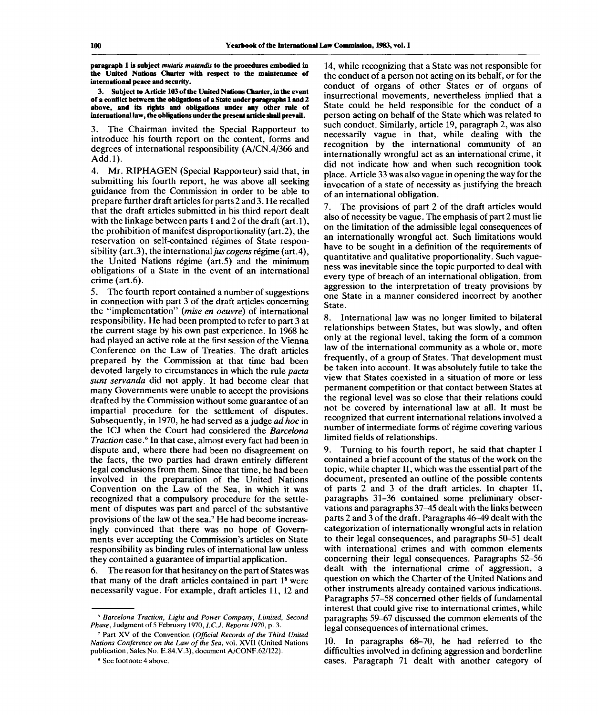**paragraph 1 is subject** *mutatis mutandis* **to the procedures embodied in the United Nations Charter with respect to the maintenance of international peace and security.**

**3. Subject to Article 103 of the United Nations Charter, in the event of a conflict between the obligations of a State under paragraphs 1 and 2 above, and its rights and obligations under any other rule of international law, the obligations under the present article shall prevail.**

3. The Chairman invited the Special Rapporteur to introduce his fourth report on the content, forms and degrees of international responsibility (A/CN.4/366 and Add.l).

4. Mr. RIPHAGEN (Special Rapporteur) said that, in submitting his fourth report, he was above all seeking guidance from the Commission in order to be able to prepare further draft articles for parts 2 and 3. He recalled that the draft articles submitted in his third report dealt with the linkage between parts 1 and 2 of the draft (art.1), the prohibition of manifest disproportionality (art.2), the reservation on self-contained regimes of State responsibility (art.3), the international *jus cogens* régime (art.4), the United Nations regime (art.5) and the minimum obligations of a State in the event of an international crime (art.6).

5. The fourth report contained a number of suggestions in connection with part 3 of the draft articles concerning the "implementation" *(mise en oeuvre)* of international responsibility. He had been prompted to refer to part 3 at the current stage by his own past experience. In 1968 he had played an active role at the first session of the Vienna Conference on the Law of Treaties. The draft articles prepared by the Commission at that time had been devoted largely to circumstances in which the rule *pacta sunt servanda* did not apply. It had become clear that many Governments were unable to accept the provisions drafted by the Commission without some guarantee of an impartial procedure for the settlement of disputes. Subsequently, in 1970, he had served as a judge *ad hoc* in the ICJ when the Court had considered the *Barcelona Traction* case.<sup>6</sup> In that case, almost every fact had been in dispute and, where there had been no disagreement on the facts, the two parties had drawn entirely different legal conclusions from them. Since that time, he had been involved in the preparation of the United Nations Convention on the Law of the Sea, in which it was recognized that a compulsory procedure for the settlement of disputes was part and parcel of the substantive ment of disputes was part and parcel of the substantive<br>provisions of the law of the sea.<sup>7</sup> He had become increasingly convinced that there was no hope of Governments ever accepting the Commission's articles on State responsibility as binding rules of international law unless they contained a guarantee of impartial application.

6. The reason for that hesitancy on the part of States was that many of the draft articles contained in part 1<sup>8</sup> were necessarily vague. For example, draft articles 11, 12 and

14, while recognizing that a State was not responsible for the conduct of a person not acting on its behalf, or for the conduct of organs of other States or of organs of insurrectional movements, nevertheless implied that a State could be held responsible for the conduct of a person acting on behalf of the State which was related to such conduct. Similarly, article 19, paragraph 2, was also necessarily vague in that, while dealing with the recognition by the international community of an internationally wrongful act as an international crime, it did not indicate how and when such recognition took place. Article 33 was also vague in opening the way for the invocation of a state of necessity as justifying the breach of an international obligation.

7. The provisions of part 2 of the draft articles would also of necessity be vague. The emphasis of part 2 must lie on the limitation of the admissible legal consequences of an internationally wrongful act. Such limitations would have to be sought in a definition of the requirements of quantitative and qualitative proportionality. Such vagueness was inevitable since the topic purported to deal with every type of breach of an international obligation, from aggression to the interpretation of treaty provisions by one State in a manner considered incorrect by another State.

8. International law was no longer limited to bilateral relationships between States, but was slowly, and often only at the regional level, taking the form of a common law of the international community as a whole or, more frequently, of a group of States. That development must be taken into account. It was absolutely futile to take the view that States coexisted in a situation of more or less permanent competition or that contact between States at the regional level was so close that their relations could not be covered by international law at all. It must be recognized that current international relations involved a number of intermediate forms of regime covering various limited fields of relationships.

9. Turning to his fourth report, he said that chapter I contained a brief account of the status of the work on the topic, while chapter II, which was the essential part of the document, presented an outline of the possible contents of parts 2 and 3 of the draft articles. In chapter II, paragraphs 31-36 contained some preliminary observations and paragraphs 37–45 dealt with the links between parts 2 and 3 of the draft. Paragraphs 46-49 dealt with the categorization of internationally wrongful acts in relation to their legal consequences, and paragraphs 50-51 dealt with international crimes and with common elements concerning their legal consequences. Paragraphs 52-56 dealt with the international crime of aggression, a question on which the Charter of the United Nations and other instruments already contained various indications. Paragraphs 57-58 concerned other fields of fundamental interest that could give rise to international crimes, while paragraphs 59-67 discussed the common elements of the legal consequences of international crimes.

10. In paragraphs 68-70, he had referred to the difficulties involved in defining aggression and borderline cases. Paragraph 71 dealt with another category of

<sup>6</sup>  *Barcelona Traction, Light and Power Company, Limited, Second Phase,* Judgment of 5 February 1970,*1.C.J. Reports 1970,* p. 3.

<sup>7</sup> Part XV of the Convention *(Official Records of the Third United Nations Conference on the Law of the Sea,* vol. XVII (United Nations publication, Sales No. E.84.V.3), document A/CONF.62/122).

<sup>8</sup> See footnote 4 above.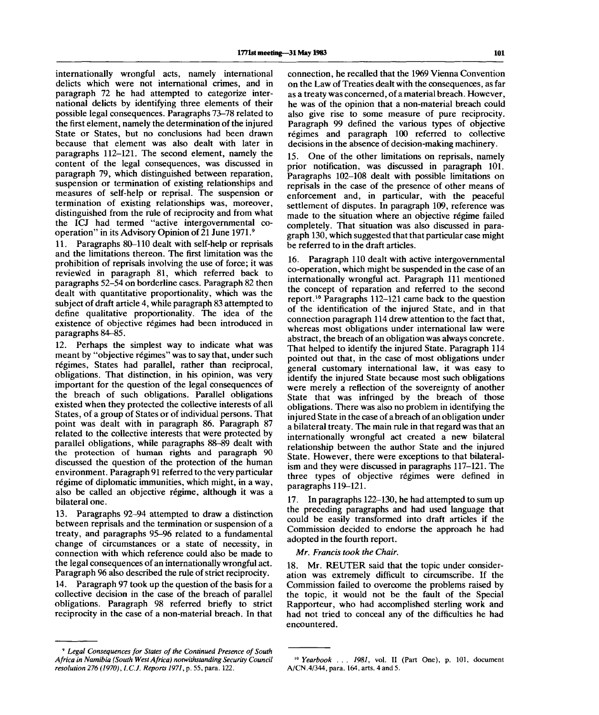internationally wrongful acts, namely international delicts which were not international crimes, and in paragraph 72 he had attempted to categorize international delicts by identifying three elements of their possible legal consequences. Paragraphs 73-78 related to the first element, namely the determination of the injured State or States, but no conclusions had been drawn because that element was also dealt with later in paragraphs 112-121. The second element, namely the content of the legal consequences, was discussed in paragraph 79, which distinguished between reparation, suspension or termination of existing relationships and measures of self-help or reprisal. The suspension or termination of existing relationships was, moreover, distinguished from the rule of reciprocity and from what the ICJ had termed "active intergovernmental cooperation" in its Advisory Opinion of 21 June 1971.<sup>9</sup>

11. Paragraphs 80-110 dealt with self-help or reprisals and the limitations thereon. The first limitation was the prohibition of reprisals involving the use of force; it was reviewed in paragraph 81, which referred back to paragraphs 52-54 on borderline cases. Paragraph 82 then dealt with quantitative proportionality, which was the subject of draft article 4, while paragraph 83 attempted to define qualitative proportionality. The idea of the existence of objective regimes had been introduced in paragraphs 84-85.

12. Perhaps the simplest way to indicate what was meant by "objective régimes" was to say that, under such régimes, States had parallel, rather than reciprocal, obligations. That distinction, in his opinion, was very important for the question of the legal consequences of the breach of such obligations. Parallel obligations existed when they protected the collective interests of all States, of a group of States or of individual persons. That point was dealt with in paragraph 86. Paragraph 87 related to the collective interests that were protected by parallel obligations, while paragraphs 88-89 dealt with the protection of human rights and paragraph 90 discussed the question of the protection of the human environment. Paragraph 91 referred to the very particular régime of diplomatic immunities, which might, in a way, also be called an objective regime, although it was a bilateral one.

13. Paragraphs 92-94 attempted to draw a distinction between reprisals and the termination or suspension of a treaty, and paragraphs 95-96 related to a fundamental change of circumstances or a state of necessity, in connection with which reference could also be made to the legal consequences of an internationally wrongful act. Paragraph 96 also described the rule of strict reciprocity.

14. Paragraph 97 took up the question of the basis for a collective decision in the case of the breach of parallel obligations. Paragraph 98 referred briefly to strict reciprocity in the case of a non-material breach. In that

9  *Legal Consequences for States of the Continued Presence of South Africa in Namibia (South West Africa) notwithstanding Security Council resolution 276 (1970), I.C.J. Reports 1971,* p. 55, para. 122.

connection, he recalled that the 1969 Vienna Convention on the Law of Treaties dealt with the consequences, as far as a treaty was concerned, of a material breach. However, he was of the opinion that a non-material breach could also give rise to some measure of pure reciprocity. Paragraph 99 defined the various types of objective regimes and paragraph 100 referred to collective decisions in the absence of decision-making machinery.

15. One of the other limitations on reprisals, namely prior notification, was discussed in paragraph 101. Paragraphs 102-108 dealt with possible limitations on reprisals in the case of the presence of other means of enforcement and, in particular, with the peaceful settlement of disputes. In paragraph 109, reference was made to the situation where an objective régime failed completely. That situation was also discussed in paragraph 130, which suggested that that particular case might be referred to in the draft articles.

16. Paragraph 110 dealt with active intergovernmental co-operation, which might be suspended in the case of an internationally wrongful act. Paragraph 111 mentioned the concept of reparation and referred to the second me concept of reputation and received to the ecosing<br>report.<sup>10</sup> Paragraphs 112–121 came back to the question of the identification of the injured State, and in that connection paragraph 114 drew attention to the fact that, whereas most obligations under international law were abstract, the breach of an obligation was always concrete. That helped to identify the injured State. Paragraph 114 pointed out that, in the case of most obligations under general customary international law, it was easy to identify the injured State because most such obligations were merely a reflection of the sovereignty of another State that was infringed by the breach of those obligations. There was also no problem in identifying the injured State in the case of a breach of an obligation under a bilateral treaty. The main rule in that regard was that an internationally wrongful act created a new bilateral relationship between the author State and the injured State. However, there were exceptions to that bilateralism and they were discussed in paragraphs 117-121. The three types of objective regimes were defined in paragraphs 119-121.

17. In paragraphs 122-130, he had attempted to sum up the preceding paragraphs and had used language that could be easily transformed into draft articles if the Commission decided to endorse the approach he had adopted in the fourth report.

*Mr. Francis took the Chair.*

18. Mr. REUTER said that the topic under consideration was extremely difficult to circumscribe. If the Commission failed to overcome the problems raised by the topic, it would not be the fault of the Special Rapporteur, who had accomplished sterling work and had not tried to conceal any of the difficulties he had encountered.

<sup>&</sup>lt;sup>10</sup> Yearbook . . . 1981, vol. II (Part One), p. 101, document A/CN.4/344, para. 164, arts. 4 and 5.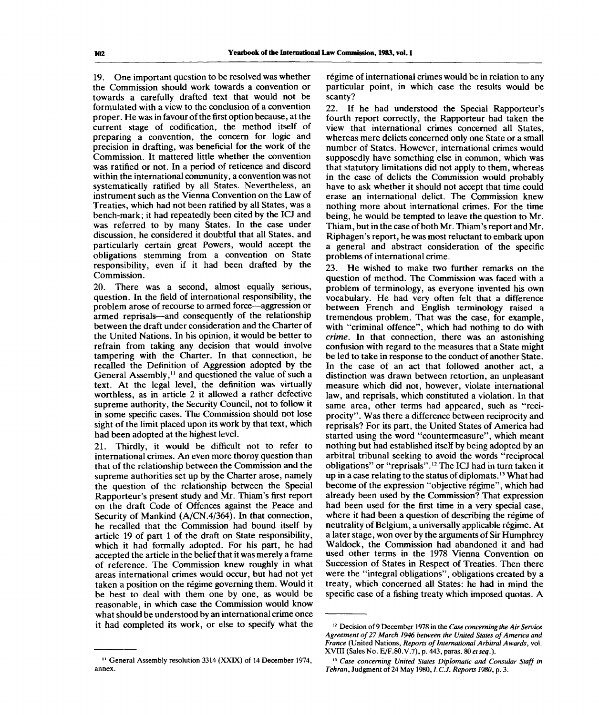19. One important question to be resolved was whether the Commission should work towards a convention or towards a carefully drafted text that would not be formulated with a view to the conclusion of a convention proper. He was in favour of the first option because, at the current stage of codification, the method itself of preparing a convention, the concern for logic and precision in drafting, was beneficial for the work of the Commission. It mattered little whether the convention was ratified or not. In a period of reticence and discord within the international community, a convention was not systematically ratified by all States. Nevertheless, an instrument such as the Vienna Convention on the Law of Treaties, which had not been ratified by all States, was a bench-mark; it had repeatedly been cited by the ICJ and was referred to by many States. In the case under discussion, he considered it doubtful that all States, and particularly certain great Powers, would accept the obligations stemming from a convention on State responsibility, even if it had been drafted by the Commission.

20. There was a second, almost equally serious, question. In the field of international responsibility, the problem arose of recourse to armed force—aggression or armed reprisals—and consequently of the relationship between the draft under consideration and the Charter of the United Nations. In his opinion, it would be better to refrain from taking any decision that would involve tampering with the Charter. In that connection, he recalled the Definition of Aggression adopted by the General Assembly,<sup>11</sup> and questioned the value of such a text. At the legal level, the definition was virtually worthless, as in article 2 it allowed a rather defective supreme authority, the Security Council, not to follow it in some specific cases. The Commission should not lose sight of the limit placed upon its work by that text, which had been adopted at the highest level.

21. Thirdly, it would be difficult not to refer to international crimes. An even more thorny question than that of the relationship between the Commission and the supreme authorities set up by the Charter arose, namely the question of the relationship between the Special Rapporteur's present study and Mr. Thiam's first report on the draft Code of Offences against the Peace and Security of Mankind (A/CN.4/364). In that connection, he recalled that the Commission had bound itself by article 19 of part 1 of the draft on State responsibility, which it had formally adopted. For his part, he had accepted the article in the belief that it was merely a frame of reference. The Commission knew roughly in what areas international crimes would occur, but had not yet taken a position on the regime governing them. Would it be best to deal with them one by one, as would be reasonable, in which case the Commission would know what should be understood by an international crime once it had completed its work, or else to specify what the régime of international crimes would be in relation to any particular point, in which case the results would be scanty?

22. If he had understood the Special Rapporteur's fourth report correctly, the Rapporteur had taken the view that international crimes concerned all States, whereas mere delicts concerned only one State or a small number of States. However, international crimes would supposedly have something else in common, which was that statutory limitations did not apply to them, whereas in the case of delicts the Commission would probably have to ask whether it should not accept that time could erase an international delict. The Commission knew nothing more about international crimes. For the time being, he would be tempted to leave the question to Mr. Thiam, but in the case of both Mr. Thiam's report and Mr. Riphagen's report, he was most reluctant to embark upon a general and abstract consideration of the specific problems of international crime.

23. He wished to make two further remarks on the question of method. The Commission was faced with a problem of terminology, as everyone invented his own vocabulary. He had very often felt that a difference between French and English terminology raised a tremendous problem. That was the case, for example, with "criminal offence", which had nothing to do with *crime.* In that connection, there was an astonishing confusion with regard to the measures that a State might be led to take in response to the conduct of another State. In the case of an act that followed another act, a distinction was drawn between retortion, an unpleasant measure which did not, however, violate international law, and reprisals, which constituted a violation. In that same area, other terms had appeared, such as "reciprocity". Was there a difference between reciprocity and reprisals? For its part, the United States of America had started using the word "countermeasure", which meant nothing but had established itself by being adopted by an arbitral tribunal seeking to avoid the words "reciprocal obligations" or "reprisals".<sup>12</sup> The ICJ had in turn taken it up in a case relating to the status of diplomats.<sup>13</sup> What had become of the expression "objective régime", which had already been used by the Commission? That expression had been used for the first time in a very special case, where it had been a question of describing the régime of neutrality of Belgium, a universally applicable régime. At a later stage, won over by the arguments of Sir Humphrey Waldock, the Commission had abandoned it and had used other terms in the 1978 Vienna Convention on Succession of States in Respect of Treaties. Then there were the "integral obligations", obligations created by a treaty, which concerned all States: he had in mind the specific case of a fishing treaty which imposed quotas. A

<sup>&</sup>lt;sup>11</sup> General Assembly resolution 3314 (XXIX) of 14 December 1974, annex.

<sup>12</sup> Decision of 9 December 1978 in the *Case concerning the Air Service Agreement of 27 March 1946 between the United States of America and* France (United Nations, Reports of International Arbitral Awards, vol. XVIII (Sales No. E/F.80.V.7), p. 443, paras. 80 *etseq.).*

<sup>&</sup>lt;sup>13</sup> Case concerning United States Diplomatic and Consular Staff in *Tehran,* Judgment of 24 May 1980,*1.C.J. Reports 1980,* p. 3.